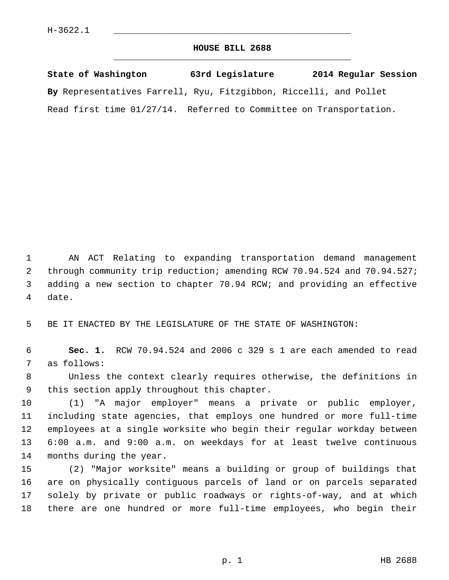## **HOUSE BILL 2688** \_\_\_\_\_\_\_\_\_\_\_\_\_\_\_\_\_\_\_\_\_\_\_\_\_\_\_\_\_\_\_\_\_\_\_\_\_\_\_\_\_\_\_\_\_

**State of Washington 63rd Legislature 2014 Regular Session By** Representatives Farrell, Ryu, Fitzgibbon, Riccelli, and Pollet Read first time 01/27/14. Referred to Committee on Transportation.

 1 AN ACT Relating to expanding transportation demand management 2 through community trip reduction; amending RCW 70.94.524 and 70.94.527; 3 adding a new section to chapter 70.94 RCW; and providing an effective 4 date.

5 BE IT ENACTED BY THE LEGISLATURE OF THE STATE OF WASHINGTON:

 6 **Sec. 1.** RCW 70.94.524 and 2006 c 329 s 1 are each amended to read 7 as follows:

 8 Unless the context clearly requires otherwise, the definitions in 9 this section apply throughout this chapter.

10 (1) "A major employer" means a private or public employer, 11 including state agencies, that employs one hundred or more full-time 12 employees at a single worksite who begin their regular workday between 13 6:00 a.m. and 9:00 a.m. on weekdays for at least twelve continuous 14 months during the year.

15 (2) "Major worksite" means a building or group of buildings that 16 are on physically contiguous parcels of land or on parcels separated 17 solely by private or public roadways or rights-of-way, and at which 18 there are one hundred or more full-time employees, who begin their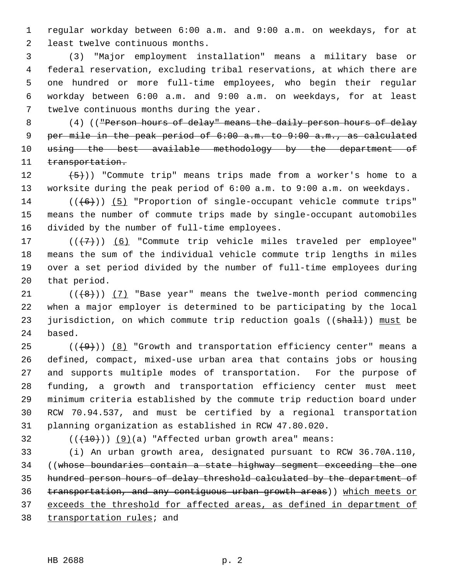1 regular workday between 6:00 a.m. and 9:00 a.m. on weekdays, for at 2 least twelve continuous months.

 3 (3) "Major employment installation" means a military base or 4 federal reservation, excluding tribal reservations, at which there are 5 one hundred or more full-time employees, who begin their regular 6 workday between 6:00 a.m. and 9:00 a.m. on weekdays, for at least 7 twelve continuous months during the year.

8 (4) (("Person hours of delay" means the daily person hours of delay 9 per mile in the peak period of 6:00 a.m. to 9:00 a.m., as calculated 10 using the best available methodology by the department of 11 transportation.

12  $(5)$ )) "Commute trip" means trips made from a worker's home to a 13 worksite during the peak period of 6:00 a.m. to 9:00 a.m. on weekdays.

 $14$  (( $\left(\frac{6}{10}\right)$ ) (5) "Proportion of single-occupant vehicle commute trips" 15 means the number of commute trips made by single-occupant automobiles 16 divided by the number of full-time employees.

17  $((+7)^{n})$  (6) "Commute trip vehicle miles traveled per employee" 18 means the sum of the individual vehicle commute trip lengths in miles 19 over a set period divided by the number of full-time employees during 20 that period.

21  $((+8))$  (7) "Base year" means the twelve-month period commencing 22 when a major employer is determined to be participating by the local 23 jurisdiction, on which commute trip reduction goals ((shall)) must be 24 based.

25  $((+9))$  (8) "Growth and transportation efficiency center" means a 26 defined, compact, mixed-use urban area that contains jobs or housing 27 and supports multiple modes of transportation. For the purpose of 28 funding, a growth and transportation efficiency center must meet 29 minimum criteria established by the commute trip reduction board under 30 RCW 70.94.537, and must be certified by a regional transportation 31 planning organization as established in RCW 47.80.020.

32  $((+10))$   $(9)(a)$  "Affected urban growth area" means:

33 (i) An urban growth area, designated pursuant to RCW 36.70A.110, 34 ((whose boundaries contain a state highway segment exceeding the one hundred person hours of delay threshold calculated by the department of transportation, and any contiguous urban growth areas)) which meets or exceeds the threshold for affected areas, as defined in department of transportation rules; and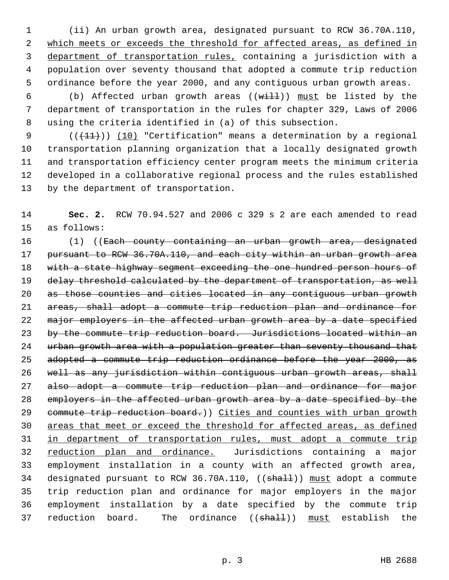1 (ii) An urban growth area, designated pursuant to RCW 36.70A.110, 2 which meets or exceeds the threshold for affected areas, as defined in 3 department of transportation rules, containing a jurisdiction with a 4 population over seventy thousand that adopted a commute trip reduction 5 ordinance before the year 2000, and any contiguous urban growth areas.

6 (b) Affected urban growth areas  $((\text{with } 1)$  must be listed by the 7 department of transportation in the rules for chapter 329, Laws of 2006 8 using the criteria identified in (a) of this subsection.

9  $((+11))$  (10) "Certification" means a determination by a regional 10 transportation planning organization that a locally designated growth 11 and transportation efficiency center program meets the minimum criteria 12 developed in a collaborative regional process and the rules established 13 by the department of transportation.

14 **Sec. 2.** RCW 70.94.527 and 2006 c 329 s 2 are each amended to read 15 as follows:

16 (1) ((Each county containing an urban growth area, designated 17 pursuant to RCW 36.70A.110, and each city within an urban growth area 18 with a state highway segment exceeding the one hundred person hours of 19 delay threshold calculated by the department of transportation, as well 20 as those counties and cities located in any contiguous urban growth 21 areas, shall adopt a commute trip reduction plan and ordinance for 22 major employers in the affected urban growth area by a date specified 23 by the commute trip reduction board. Jurisdictions located within an 24 urban growth area with a population greater than seventy thousand that 25 adopted a commute trip reduction ordinance before the year 2000, as 26 well as any jurisdiction within contiguous urban growth areas, shall 27 also adopt a commute trip reduction plan and ordinance for major 28 employers in the affected urban growth area by a date specified by the 29 commute trip reduction board.)) Cities and counties with urban growth 30 areas that meet or exceed the threshold for affected areas, as defined 31 in department of transportation rules, must adopt a commute trip 32 reduction plan and ordinance. Jurisdictions containing a major 33 employment installation in a county with an affected growth area, 34 designated pursuant to RCW 36.70A.110, ((shall)) must adopt a commute 35 trip reduction plan and ordinance for major employers in the major 36 employment installation by a date specified by the commute trip 37 reduction board. The ordinance ((shall)) must establish the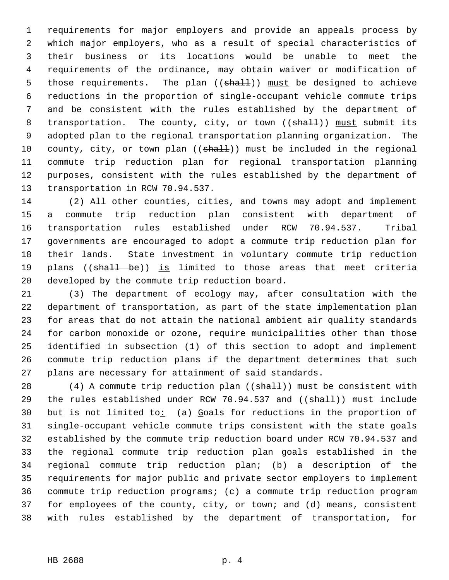1 requirements for major employers and provide an appeals process by 2 which major employers, who as a result of special characteristics of 3 their business or its locations would be unable to meet the 4 requirements of the ordinance, may obtain waiver or modification of 5 those requirements. The plan ((shall)) must be designed to achieve 6 reductions in the proportion of single-occupant vehicle commute trips 7 and be consistent with the rules established by the department of 8 transportation. The county, city, or town ((shall)) must submit its 9 adopted plan to the regional transportation planning organization. The 10 county, city, or town plan  $((shall))$  must be included in the regional 11 commute trip reduction plan for regional transportation planning 12 purposes, consistent with the rules established by the department of 13 transportation in RCW 70.94.537.

14 (2) All other counties, cities, and towns may adopt and implement 15 a commute trip reduction plan consistent with department of 16 transportation rules established under RCW 70.94.537. Tribal 17 governments are encouraged to adopt a commute trip reduction plan for 18 their lands. State investment in voluntary commute trip reduction 19 plans ((shall be)) is limited to those areas that meet criteria 20 developed by the commute trip reduction board.

21 (3) The department of ecology may, after consultation with the 22 department of transportation, as part of the state implementation plan 23 for areas that do not attain the national ambient air quality standards 24 for carbon monoxide or ozone, require municipalities other than those 25 identified in subsection (1) of this section to adopt and implement 26 commute trip reduction plans if the department determines that such 27 plans are necessary for attainment of said standards.

28 (4) A commute trip reduction plan ( $(\text{shalt})$ ) must be consistent with 29 the rules established under RCW 70.94.537 and ((shall)) must include 30 but is not limited to: (a) Goals for reductions in the proportion of 31 single-occupant vehicle commute trips consistent with the state goals 32 established by the commute trip reduction board under RCW 70.94.537 and 33 the regional commute trip reduction plan goals established in the 34 regional commute trip reduction plan; (b) a description of the 35 requirements for major public and private sector employers to implement 36 commute trip reduction programs; (c) a commute trip reduction program 37 for employees of the county, city, or town; and (d) means, consistent 38 with rules established by the department of transportation, for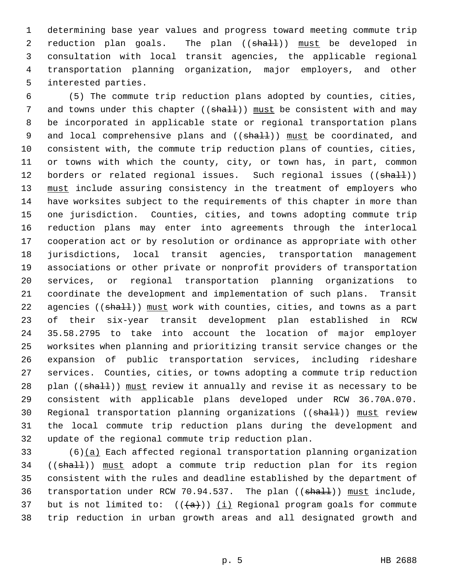1 determining base year values and progress toward meeting commute trip 2 reduction plan goals. The plan ((shall)) must be developed in 3 consultation with local transit agencies, the applicable regional 4 transportation planning organization, major employers, and other 5 interested parties.

 6 (5) The commute trip reduction plans adopted by counties, cities, 7 and towns under this chapter ((shall)) must be consistent with and may 8 be incorporated in applicable state or regional transportation plans 9 and local comprehensive plans and ((shall)) must be coordinated, and 10 consistent with, the commute trip reduction plans of counties, cities, 11 or towns with which the county, city, or town has, in part, common 12 borders or related regional issues. Such regional issues ((shall)) 13 must include assuring consistency in the treatment of employers who 14 have worksites subject to the requirements of this chapter in more than 15 one jurisdiction. Counties, cities, and towns adopting commute trip 16 reduction plans may enter into agreements through the interlocal 17 cooperation act or by resolution or ordinance as appropriate with other 18 jurisdictions, local transit agencies, transportation management 19 associations or other private or nonprofit providers of transportation 20 services, or regional transportation planning organizations to 21 coordinate the development and implementation of such plans. Transit 22 agencies ((shall)) must work with counties, cities, and towns as a part 23 of their six-year transit development plan established in RCW 24 35.58.2795 to take into account the location of major employer 25 worksites when planning and prioritizing transit service changes or the 26 expansion of public transportation services, including rideshare 27 services. Counties, cities, or towns adopting a commute trip reduction 28 plan ((shall)) must review it annually and revise it as necessary to be 29 consistent with applicable plans developed under RCW 36.70A.070. 30 Regional transportation planning organizations ((shall)) must review 31 the local commute trip reduction plans during the development and 32 update of the regional commute trip reduction plan.

33 (6)(a) Each affected regional transportation planning organization 34 ((shall)) must adopt a commute trip reduction plan for its region 35 consistent with the rules and deadline established by the department of 36 transportation under RCW 70.94.537. The plan ((shall)) must include, 37 but is not limited to:  $((+a))$  (i) Regional program goals for commute 38 trip reduction in urban growth areas and all designated growth and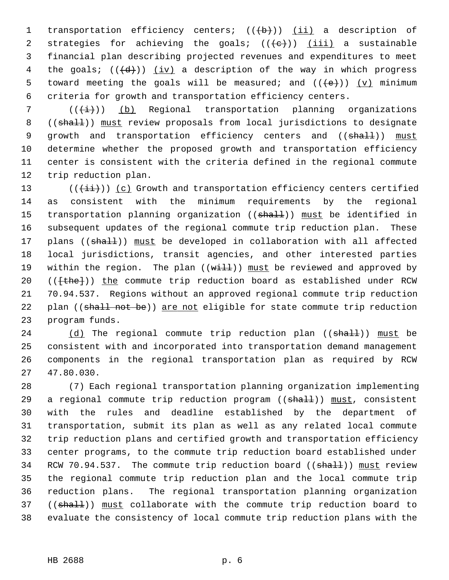1 transportation efficiency centers; (((b))) (ii) a description of 2 strategies for achieving the goals;  $((+e+))$  (iii) a sustainable 3 financial plan describing projected revenues and expenditures to meet 4 the goals;  $((\frac{d}{d}))(i\nu)$  a description of the way in which progress 5 toward meeting the goals will be measured; and  $((e+))$  (y) minimum 6 criteria for growth and transportation efficiency centers.

 $7$  ( $(\frac{1}{1})$ ) (b) Regional transportation planning organizations 8 ((shall)) must review proposals from local jurisdictions to designate 9 growth and transportation efficiency centers and ((shall)) must 10 determine whether the proposed growth and transportation efficiency 11 center is consistent with the criteria defined in the regional commute 12 trip reduction plan.

13  $((\overrightarrow{\pm i}))$  (c) Growth and transportation efficiency centers certified 14 as consistent with the minimum requirements by the regional 15 transportation planning organization ((shall)) must be identified in 16 subsequent updates of the regional commute trip reduction plan. These 17 plans ((shall)) must be developed in collaboration with all affected 18 local jurisdictions, transit agencies, and other interested parties 19 within the region. The plan  $((with 1)$  must be reviewed and approved by 20 (( $\{\text{the}\})$ ) the commute trip reduction board as established under RCW 21 70.94.537. Regions without an approved regional commute trip reduction 22 plan ((shall not be)) are not eligible for state commute trip reduction 23 program funds.

24 (d) The regional commute trip reduction plan  $((\text{shalt}))$  must be 25 consistent with and incorporated into transportation demand management 26 components in the regional transportation plan as required by RCW 27 47.80.030.

28 (7) Each regional transportation planning organization implementing 29 a regional commute trip reduction program ((shall)) must, consistent 30 with the rules and deadline established by the department of 31 transportation, submit its plan as well as any related local commute 32 trip reduction plans and certified growth and transportation efficiency 33 center programs, to the commute trip reduction board established under 34 RCW 70.94.537. The commute trip reduction board ((shall)) must review 35 the regional commute trip reduction plan and the local commute trip 36 reduction plans. The regional transportation planning organization 37 ((shall)) must collaborate with the commute trip reduction board to 38 evaluate the consistency of local commute trip reduction plans with the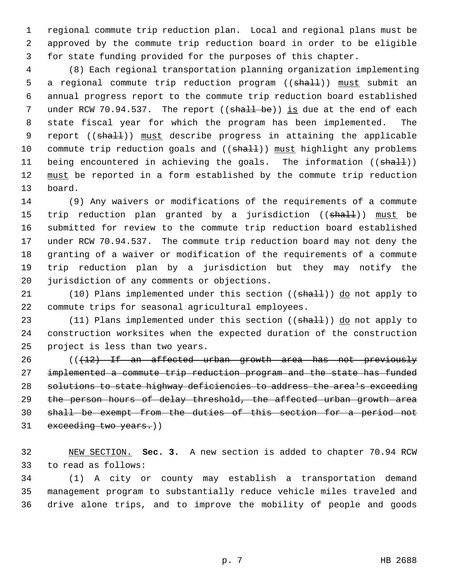1 regional commute trip reduction plan. Local and regional plans must be 2 approved by the commute trip reduction board in order to be eligible 3 for state funding provided for the purposes of this chapter.

 4 (8) Each regional transportation planning organization implementing 5 a regional commute trip reduction program ((shall)) must submit an 6 annual progress report to the commute trip reduction board established 7 under RCW 70.94.537. The report ((shall be)) is due at the end of each 8 state fiscal year for which the program has been implemented. The 9 report ((shall)) must describe progress in attaining the applicable 10 commute trip reduction goals and ((shall)) must highlight any problems 11 being encountered in achieving the goals. The information ((shall)) 12 must be reported in a form established by the commute trip reduction 13 board.

14 (9) Any waivers or modifications of the requirements of a commute 15 trip reduction plan granted by a jurisdiction ((shall)) must be 16 submitted for review to the commute trip reduction board established 17 under RCW 70.94.537. The commute trip reduction board may not deny the 18 granting of a waiver or modification of the requirements of a commute 19 trip reduction plan by a jurisdiction but they may notify the 20 jurisdiction of any comments or objections.

21 (10) Plans implemented under this section ((shall)) do not apply to 22 commute trips for seasonal agricultural employees.

23 (11) Plans implemented under this section ((shall)) do not apply to 24 construction worksites when the expected duration of the construction 25 project is less than two years.

26 (( $\{12\}$  If an affected urban growth area has not previously 27 implemented a commute trip reduction program and the state has funded 28 solutions to state highway deficiencies to address the area's exceeding 29 the person hours of delay threshold, the affected urban growth area 30 shall be exempt from the duties of this section for a period not 31 exceeding two years.))

32 NEW SECTION. **Sec. 3.** A new section is added to chapter 70.94 RCW 33 to read as follows:

34 (1) A city or county may establish a transportation demand 35 management program to substantially reduce vehicle miles traveled and 36 drive alone trips, and to improve the mobility of people and goods